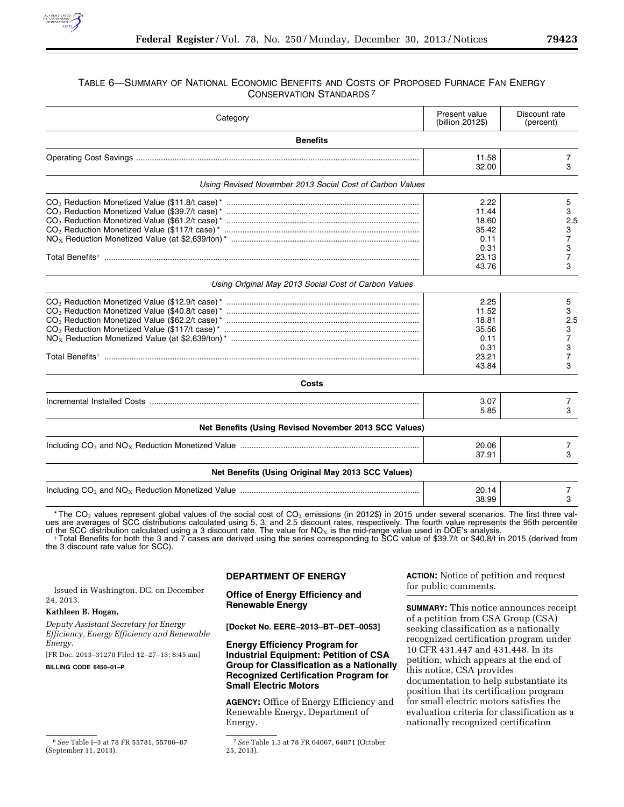

# TABLE 6—SUMMARY OF NATIONAL ECONOMIC BENEFITS AND COSTS OF PROPOSED FURNACE FAN ENERGY CONSERVATION STANDARDS 7

| Category                                                 | Present value<br>(billion 2012\$)                                 | Discount rate<br>(percent)                          |  |  |
|----------------------------------------------------------|-------------------------------------------------------------------|-----------------------------------------------------|--|--|
| <b>Benefits</b>                                          |                                                                   |                                                     |  |  |
|                                                          | 11.58<br>32.00                                                    | 7<br>3                                              |  |  |
| Using Revised November 2013 Social Cost of Carbon Values |                                                                   |                                                     |  |  |
|                                                          | 2.22<br>11.44<br>18.60<br>35.42<br>0.11<br>0.31<br>23.13<br>43.76 | 5<br>3<br>2.5<br>3<br>7<br>3<br>7<br>3              |  |  |
| Using Original May 2013 Social Cost of Carbon Values     |                                                                   |                                                     |  |  |
|                                                          | 2.25<br>11.52<br>18.81<br>35.56<br>0.11<br>0.31<br>23.21<br>43.84 | 5<br>3<br>2.5<br>3<br>7<br>3<br>$\overline{7}$<br>3 |  |  |
| <b>Costs</b>                                             |                                                                   |                                                     |  |  |
|                                                          | 3.07<br>5.85                                                      | 7<br>3                                              |  |  |
| Net Benefits (Using Revised November 2013 SCC Values)    |                                                                   |                                                     |  |  |
|                                                          | 20.06<br>37.91                                                    | 7<br>3                                              |  |  |
| Net Benefits (Using Original May 2013 SCC Values)        |                                                                   |                                                     |  |  |
|                                                          | 20.14<br>38.99                                                    | 7<br>3                                              |  |  |

\* The CO<sub>2</sub> values represent global values of the social cost of CO<sub>2</sub> emissions (in 2012\$) in 2015 under several scenarios. The first three val-<br>ues are averages of SCC distributions calculated using 5, 3, and 2.5 discou

of the SCC distribution calculated using a 3 discount rate. The value for NO<sub>x</sub> is the mid-range value used in DOE's analysis.<br>Total Benefits for both the 3 and 7 cases are derived using the series corresponding to SCC val

**DEPARTMENT OF ENERGY** 

| Issued in Washington, DC, on December                                                |                                                                   | for public comments.                                                         |  |
|--------------------------------------------------------------------------------------|-------------------------------------------------------------------|------------------------------------------------------------------------------|--|
| 24, 2013.                                                                            | <b>Office of Energy Efficiency and</b><br><b>Renewable Energy</b> |                                                                              |  |
| Kathleen B. Hogan,                                                                   |                                                                   | <b>SUMMARY:</b> This notice announces receipt                                |  |
| Deputy Assistant Secretary for Energy<br>Efficiency, Energy Efficiency and Renewable | [Docket No. EERE-2013-BT-DET-0053]                                | of a petition from CSA Group (CSA)<br>seeking classification as a nationally |  |
| Energy.                                                                              | <b>Energy Efficiency Program for</b>                              | recognized certification program under                                       |  |
| [FR Doc. 2013-31270 Filed 12-27-13; 8:45 am]                                         | <b>Industrial Equipment: Petition of CSA</b>                      | 10 CFR 431.447 and 431.448. In its                                           |  |
| BILLING CODE 6450-01-P                                                               | <b>Group for Classification as a Nationally</b>                   | petition, which appears at the end of                                        |  |
|                                                                                      | <b>Recognized Certification Program for</b>                       | this notice, CSA provides                                                    |  |
|                                                                                      | <b>Small Electric Motors</b>                                      | documentation to help substantiate its                                       |  |
|                                                                                      |                                                                   | position that its certification program                                      |  |
|                                                                                      | <b>AGENCY:</b> Office of Energy Efficiency and                    | for small electric motors satisfies the                                      |  |
|                                                                                      | Renewable Energy, Department of                                   | evaluation criteria for classification as a                                  |  |
|                                                                                      | Energy.                                                           | nationally recognized certification                                          |  |

**ACTION:** Notice of petition and request

<sup>6</sup>*See* Table I–3 at 78 FR 55781, 55786–87 (September 11, 2013).

<sup>7</sup>*See* Table 1.3 at 78 FR 64067, 64071 (October 25, 2013).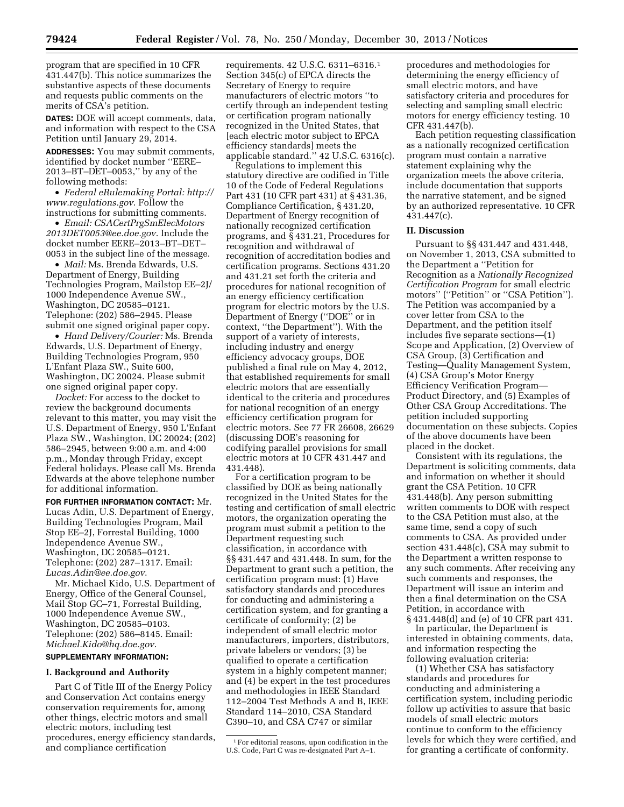program that are specified in 10 CFR 431.447(b). This notice summarizes the substantive aspects of these documents and requests public comments on the merits of CSA's petition.

**DATES:** DOE will accept comments, data, and information with respect to the CSA Petition until January 29, 2014.

**ADDRESSES:** You may submit comments, identified by docket number ''EERE– 2013–BT–DET–0053,'' by any of the following methods:

• *Federal eRulemaking Portal: [http://](http://www.regulations.gov)  [www.regulations.gov](http://www.regulations.gov)*. Follow the instructions for submitting comments.

• *Email: [CSACertPrgSmElecMotors](mailto:CSACertPrgSmElecMotors2013DET0053@ee.doe.gov) [2013DET0053@ee.doe.gov](mailto:CSACertPrgSmElecMotors2013DET0053@ee.doe.gov)*. Include the docket number EERE–2013–BT–DET– 0053 in the subject line of the message.

• *Mail:* Ms. Brenda Edwards, U.S. Department of Energy, Building Technologies Program, Mailstop EE–2J/ 1000 Independence Avenue SW., Washington, DC 20585–0121. Telephone: (202) 586–2945. Please submit one signed original paper copy.

• *Hand Delivery/Courier:* Ms. Brenda Edwards, U.S. Department of Energy, Building Technologies Program, 950 L'Enfant Plaza SW., Suite 600, Washington, DC 20024. Please submit one signed original paper copy.

*Docket:* For access to the docket to review the background documents relevant to this matter, you may visit the U.S. Department of Energy, 950 L'Enfant Plaza SW., Washington, DC 20024; (202) 586–2945, between 9:00 a.m. and 4:00 p.m., Monday through Friday, except Federal holidays. Please call Ms. Brenda Edwards at the above telephone number for additional information.

**FOR FURTHER INFORMATION CONTACT:** Mr. Lucas Adin, U.S. Department of Energy, Building Technologies Program, Mail Stop EE–2J, Forrestal Building, 1000 Independence Avenue SW., Washington, DC 20585–0121. Telephone: (202) 287–1317. Email: *[Lucas.Adin@ee.doe.gov](mailto:Lucas.Adin@ee.doe.gov)*.

Mr. Michael Kido, U.S. Department of Energy, Office of the General Counsel, Mail Stop GC–71, Forrestal Building, 1000 Independence Avenue SW., Washington, DC 20585–0103. Telephone: (202) 586–8145. Email: *[Michael.Kido@hq.doe.gov](mailto:Michael.Kido@hq.doe.gov)*.

## **SUPPLEMENTARY INFORMATION:**

## **I. Background and Authority**

Part C of Title III of the Energy Policy and Conservation Act contains energy conservation requirements for, among other things, electric motors and small electric motors, including test procedures, energy efficiency standards, and compliance certification

requirements. 42 U.S.C. 6311–6316.1 Section 345(c) of EPCA directs the Secretary of Energy to require manufacturers of electric motors ''to certify through an independent testing or certification program nationally recognized in the United States, that [each electric motor subject to EPCA efficiency standards] meets the applicable standard.'' 42 U.S.C. 6316(c).

Regulations to implement this statutory directive are codified in Title 10 of the Code of Federal Regulations Part 431 (10 CFR part 431) at § 431.36, Compliance Certification, § 431.20, Department of Energy recognition of nationally recognized certification programs, and § 431.21, Procedures for recognition and withdrawal of recognition of accreditation bodies and certification programs. Sections 431.20 and 431.21 set forth the criteria and procedures for national recognition of an energy efficiency certification program for electric motors by the U.S. Department of Energy (''DOE'' or in context, ''the Department''). With the support of a variety of interests, including industry and energy efficiency advocacy groups, DOE published a final rule on May 4, 2012, that established requirements for small electric motors that are essentially identical to the criteria and procedures for national recognition of an energy efficiency certification program for electric motors. See 77 FR 26608, 26629 (discussing DOE's reasoning for codifying parallel provisions for small electric motors at 10 CFR 431.447 and 431.448).

For a certification program to be classified by DOE as being nationally recognized in the United States for the testing and certification of small electric motors, the organization operating the program must submit a petition to the Department requesting such classification, in accordance with §§ 431.447 and 431.448. In sum, for the Department to grant such a petition, the certification program must: (1) Have satisfactory standards and procedures for conducting and administering a certification system, and for granting a certificate of conformity; (2) be independent of small electric motor manufacturers, importers, distributors, private labelers or vendors; (3) be qualified to operate a certification system in a highly competent manner; and (4) be expert in the test procedures and methodologies in IEEE Standard 112–2004 Test Methods A and B, IEEE Standard 114–2010, CSA Standard C390–10, and CSA C747 or similar

procedures and methodologies for determining the energy efficiency of small electric motors, and have satisfactory criteria and procedures for selecting and sampling small electric motors for energy efficiency testing. 10 CFR 431.447(b).

Each petition requesting classification as a nationally recognized certification program must contain a narrative statement explaining why the organization meets the above criteria, include documentation that supports the narrative statement, and be signed by an authorized representative. 10 CFR  $431.447(c)$ .

## **II. Discussion**

Pursuant to §§ 431.447 and 431.448, on November 1, 2013, CSA submitted to the Department a ''Petition for Recognition as a *Nationally Recognized Certification Program* for small electric motors" ("Petition" or "CSA Petition"). The Petition was accompanied by a cover letter from CSA to the Department, and the petition itself includes five separate sections—(1) Scope and Application, (2) Overview of CSA Group, (3) Certification and Testing—Quality Management System, (4) CSA Group's Motor Energy Efficiency Verification Program— Product Directory, and (5) Examples of Other CSA Group Accreditations. The petition included supporting documentation on these subjects. Copies of the above documents have been placed in the docket.

Consistent with its regulations, the Department is soliciting comments, data and information on whether it should grant the CSA Petition. 10 CFR 431.448(b). Any person submitting written comments to DOE with respect to the CSA Petition must also, at the same time, send a copy of such comments to CSA. As provided under section 431.448(c), CSA may submit to the Department a written response to any such comments. After receiving any such comments and responses, the Department will issue an interim and then a final determination on the CSA Petition, in accordance with § 431.448(d) and (e) of 10 CFR part 431.

In particular, the Department is interested in obtaining comments, data, and information respecting the following evaluation criteria:

(1) Whether CSA has satisfactory standards and procedures for conducting and administering a certification system, including periodic follow up activities to assure that basic models of small electric motors continue to conform to the efficiency levels for which they were certified, and for granting a certificate of conformity.

<sup>1</sup>For editorial reasons, upon codification in the U.S. Code, Part C was re-designated Part A–1.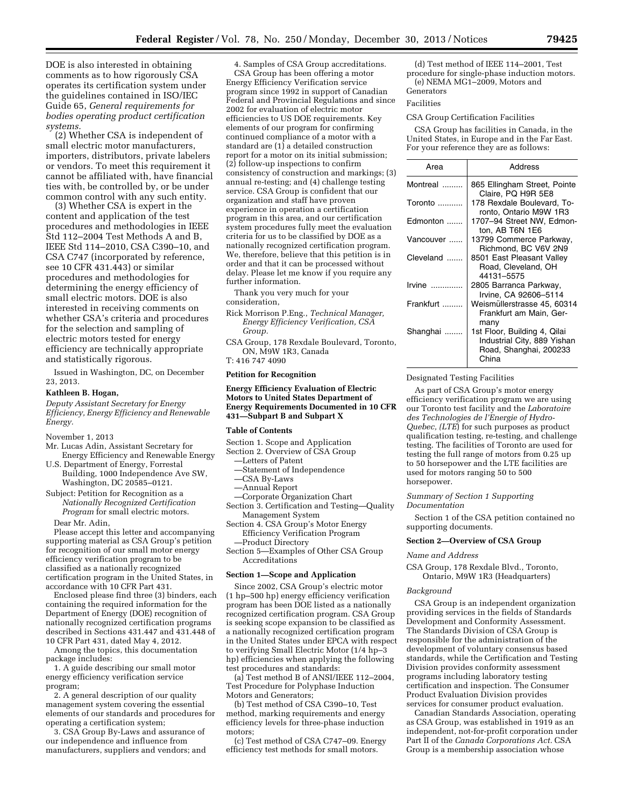DOE is also interested in obtaining comments as to how rigorously CSA operates its certification system under the guidelines contained in ISO/IEC Guide 65, *General requirements for bodies operating product certification systems.* 

(2) Whether CSA is independent of small electric motor manufacturers, importers, distributors, private labelers or vendors. To meet this requirement it cannot be affiliated with, have financial ties with, be controlled by, or be under common control with any such entity.

(3) Whether CSA is expert in the content and application of the test procedures and methodologies in IEEE Std 112–2004 Test Methods A and B, IEEE Std 114–2010, CSA C390–10, and CSA C747 (incorporated by reference, see 10 CFR 431.443) or similar procedures and methodologies for determining the energy efficiency of small electric motors. DOE is also interested in receiving comments on whether CSA's criteria and procedures for the selection and sampling of electric motors tested for energy efficiency are technically appropriate and statistically rigorous.

Issued in Washington, DC, on December 23, 2013.

## **Kathleen B. Hogan,**

*Deputy Assistant Secretary for Energy Efficiency, Energy Efficiency and Renewable Energy.* 

- November 1, 2013
- Mr. Lucas Adin, Assistant Secretary for Energy Efficiency and Renewable Energy
- U.S. Department of Energy, Forrestal Building, 1000 Independence Ave SW, Washington, DC 20585–0121.
- Subject: Petition for Recognition as a *Nationally Recognized Certification Program* for small electric motors.

Dear Mr. Adin,

Please accept this letter and accompanying supporting material as CSA Group's petition for recognition of our small motor energy efficiency verification program to be classified as a nationally recognized certification program in the United States, in accordance with 10 CFR Part 431.

Enclosed please find three (3) binders, each containing the required information for the Department of Energy (DOE) recognition of nationally recognized certification programs described in Sections 431.447 and 431.448 of 10 CFR Part 431, dated May 4, 2012.

Among the topics, this documentation package includes:

1. A guide describing our small motor energy efficiency verification service program;

2. A general description of our quality management system covering the essential elements of our standards and procedures for operating a certification system;

3. CSA Group By-Laws and assurance of our independence and influence from manufacturers, suppliers and vendors; and

4. Samples of CSA Group accreditations. CSA Group has been offering a motor Energy Efficiency Verification service program since 1992 in support of Canadian Federal and Provincial Regulations and since 2002 for evaluation of electric motor efficiencies to US DOE requirements. Key elements of our program for confirming continued compliance of a motor with a standard are (1) a detailed construction report for a motor on its initial submission;  $(2)$  follow-up inspections to confirm consistency of construction and markings; (3) annual re-testing; and (4) challenge testing service. CSA Group is confident that our organization and staff have proven experience in operation a certification program in this area, and our certification system procedures fully meet the evaluation criteria for us to be classified by DOE as a nationally recognized certification program. We, therefore, believe that this petition is in order and that it can be processed without delay. Please let me know if you require any further information.

Thank you very much for your consideration,

- Rick Morrison P.Eng., *Technical Manager, Energy Efficiency Verification, CSA Group.*
- CSA Group, 178 Rexdale Boulevard, Toronto, ON, M9W 1R3, Canada T: 416 747 4090

# **Petition for Recognition**

#### **Energy Efficiency Evaluation of Electric Motors to United States Department of Energy Requirements Documented in 10 CFR 431—Subpart B and Subpart X**

#### **Table of Contents**

- Section 1. Scope and Application
- Section 2. Overview of CSA Group
	- —Letters of Patent
	- —Statement of Independence
	- —CSA By-Laws
	- —Annual Report
- —Corporate Organization Chart Section 3. Certification and Testing—Quality Management System
- Section 4. CSA Group's Motor Energy Efficiency Verification Program
	- —Product Directory

Section 5—Examples of Other CSA Group Accreditations

#### **Section 1—Scope and Application**

Since 2002, CSA Group's electric motor (1 hp–500 hp) energy efficiency verification program has been DOE listed as a nationally recognized certification program. CSA Group is seeking scope expansion to be classified as a nationally recognized certification program in the United States under EPCA with respect to verifying Small Electric Motor (1/4 hp–3 hp) efficiencies when applying the following test procedures and standards:

(a) Test method B of ANSI/IEEE 112–2004, Test Procedure for Polyphase Induction Motors and Generators;

(b) Test method of CSA C390–10, Test method, marking requirements and energy efficiency levels for three-phase induction motors;

(c) Test method of CSA C747–09. Energy efficiency test methods for small motors.

(d) Test method of IEEE 114–2001, Test procedure for single-phase induction motors. (e) NEMA MG1–2009, Motors and Generators

# Facilities

## CSA Group Certification Facilities

CSA Group has facilities in Canada, in the United States, in Europe and in the Far East. For your reference they are as follows:

| Area      | <b>Address</b>                                                                                 |
|-----------|------------------------------------------------------------------------------------------------|
| Montreal  | 865 Ellingham Street, Pointe<br>Claire, PQ H9R 5E8                                             |
|           | 178 Rexdale Boulevard, To-<br>ronto, Ontario M9W 1R3                                           |
| Edmonton  | 1707-94 Street NW, Edmon-<br>ton, AB T6N 1E6                                                   |
| Vancouver | 13799 Commerce Parkway,<br>Richmond, BC V6V 2N9                                                |
| Cleveland | 8501 East Pleasant Valley<br>Road, Cleveland, OH<br>44131-5575                                 |
| Irvine    | 2805 Barranca Parkway,<br>Irvine, CA 92606-5114                                                |
| Frankfurt | Weismüllerstrasse 45, 60314<br>Frankfurt am Main, Ger-<br>many                                 |
| Shanghai  | 1st Floor, Building 4, Qilai<br>Industrial City, 889 Yishan<br>Road, Shanghai, 200233<br>China |

Designated Testing Facilities

As part of CSA Group's motor energy efficiency verification program we are using our Toronto test facility and the *Laboratoire des Technologies de l'Energie of Hydro-Quebec, (LTE*) for such purposes as product qualification testing, re-testing, and challenge testing. The facilities of Toronto are used for testing the full range of motors from 0.25 up to 50 horsepower and the LTE facilities are used for motors ranging 50 to 500 horsepower.

#### *Summary of Section 1 Supporting Documentation*

Section 1 of the CSA petition contained no supporting documents.

#### **Section 2—Overview of CSA Group**

#### *Name and Address*

CSA Group, 178 Rexdale Blvd., Toronto, Ontario, M9W 1R3 (Headquarters)

#### *Background*

CSA Group is an independent organization providing services in the fields of Standards Development and Conformity Assessment. The Standards Division of CSA Group is responsible for the administration of the development of voluntary consensus based standards, while the Certification and Testing Division provides conformity assessment programs including laboratory testing certification and inspection. The Consumer Product Evaluation Division provides services for consumer product evaluation.

Canadian Standards Association, operating as CSA Group, was established in 1919 as an independent, not-for-profit corporation under Part II of the *Canada Corporations Act.* CSA Group is a membership association whose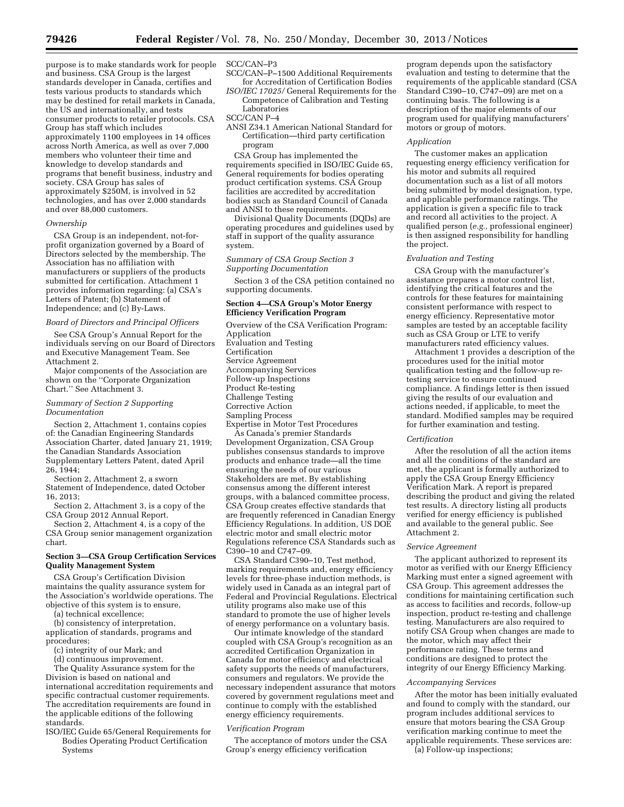purpose is to make standards work for people and business. CSA Group is the largest standards developer in Canada, certifies and tests various products to standards which may be destined for retail markets in Canada, the US and internationally, and tests consumer products to retailer protocols. CSA Group has staff which includes approximately 1100 employees in 14 offices across North America, as well as over 7,000 members who volunteer their time and knowledge to develop standards and programs that benefit business, industry and society. CSA Group has sales of approximately \$250M, is involved in 52 technologies, and has over 2,000 standards and over 88,000 customers.

# *Ownership*

CSA Group is an independent, not-forprofit organization governed by a Board of Directors selected by the membership. The Association has no affiliation with manufacturers or suppliers of the products submitted for certification. Attachment 1 provides information regarding: (a) CSA's Letters of Patent; (b) Statement of Independence; and (c) By-Laws.

## *Board of Directors and Principal Officers*

See CSA Group's Annual Report for the individuals serving on our Board of Directors and Executive Management Team. See Attachment 2.

Major components of the Association are shown on the "Corporate Organization Chart.'' See Attachment 3.

## *Summary of Section 2 Supporting Documentation*

Section 2, Attachment 1, contains copies of: the Canadian Engineering Standards Association Charter, dated January 21, 1919; the Canadian Standards Association Supplementary Letters Patent, dated April 26, 1944;

Section 2, Attachment 2, a sworn Statement of Independence, dated October 16, 2013;

Section 2, Attachment 3, is a copy of the CSA Group 2012 Annual Report.

Section 2, Attachment 4, is a copy of the CSA Group senior management organization chart.

# **Section 3—CSA Group Certification Services Quality Management System**

CSA Group's Certification Division maintains the quality assurance system for the Association's worldwide operations. The objective of this system is to ensure,

(a) technical excellence;

(b) consistency of interpretation, application of standards, programs and procedures;

(c) integrity of our Mark; and

(d) continuous improvement.

The Quality Assurance system for the

Division is based on national and international accreditation requirements and specific contractual customer requirements. The accreditation requirements are found in the applicable editions of the following standards.

ISO/IEC Guide 65/General Requirements for Bodies Operating Product Certification Systems

SCC/CAN–P3

- SCC/CAN–P–1500 Additional Requirements for Accreditation of Certification Bodies
- *ISO/IEC 17025/* General Requirements for the Competence of Calibration and Testing Laboratories

SCC/CAN P–4

ANSI Z34.1 American National Standard for Certification—third party certification program

CSA Group has implemented the requirements specified in ISO/IEC Guide 65, General requirements for bodies operating product certification systems. CSA Group facilities are accredited by accreditation bodies such as Standard Council of Canada and ANSI to these requirements.

Divisional Quality Documents (DQDs) are operating procedures and guidelines used by staff in support of the quality assurance system.

*Summary of CSA Group Section 3 Supporting Documentation* 

Section 3 of the CSA petition contained no supporting documents.

## **Section 4—CSA Group's Motor Energy Efficiency Verification Program**

Overview of the CSA Verification Program:

Application Evaluation and Testing

Certification

Service Agreement

Accompanying Services

Follow-up Inspections

Product Re-testing

Challenge Testing

Corrective Action

Sampling Process

Expertise in Motor Test Procedures As Canada's premier Standards

Development Organization, CSA Group publishes consensus standards to improve products and enhance trade—all the time ensuring the needs of our various Stakeholders are met. By establishing consensus among the different interest groups, with a balanced committee process, CSA Group creates effective standards that are frequently referenced in Canadian Energy Efficiency Regulations. In addition, US DOE electric motor and small electric motor Regulations reference CSA Standards such as C390–10 and C747–09.

CSA Standard C390–10, Test method, marking requirements and, energy efficiency levels for three-phase induction methods, is widely used in Canada as an integral part of Federal and Provincial Regulations. Electrical utility programs also make use of this standard to promote the use of higher levels of energy performance on a voluntary basis.

Our intimate knowledge of the standard coupled with CSA Group's recognition as an accredited Certification Organization in Canada for motor efficiency and electrical safety supports the needs of manufacturers, consumers and regulators. We provide the necessary independent assurance that motors covered by government regulations meet and continue to comply with the established energy efficiency requirements.

# *Verification Program*

The acceptance of motors under the CSA Group's energy efficiency verification

program depends upon the satisfactory evaluation and testing to determine that the requirements of the applicable standard (CSA Standard C390–10, C747–09) are met on a continuing basis. The following is a description of the major elements of our program used for qualifying manufacturers' motors or group of motors.

#### *Application*

The customer makes an application requesting energy efficiency verification for his motor and submits all required documentation such as a list of all motors being submitted by model designation, type, and applicable performance ratings. The application is given a specific file to track and record all activities to the project. A qualified person (*e.g.,* professional engineer) is then assigned responsibility for handling the project.

## *Evaluation and Testing*

CSA Group with the manufacturer's assistance prepares a motor control list, identifying the critical features and the controls for these features for maintaining consistent performance with respect to energy efficiency. Representative motor samples are tested by an acceptable facility such as CSA Group or LTE to verify manufacturers rated efficiency values.

Attachment 1 provides a description of the procedures used for the initial motor qualification testing and the follow-up retesting service to ensure continued compliance. A findings letter is then issued giving the results of our evaluation and actions needed, if applicable, to meet the standard. Modified samples may be required for further examination and testing.

#### *Certification*

After the resolution of all the action items and all the conditions of the standard are met, the applicant is formally authorized to apply the CSA Group Energy Efficiency Verification Mark. A report is prepared describing the product and giving the related test results. A directory listing all products verified for energy efficiency is published and available to the general public. See Attachment 2.

#### *Service Agreement*

The applicant authorized to represent its motor as verified with our Energy Efficiency Marking must enter a signed agreement with CSA Group. This agreement addresses the conditions for maintaining certification such as access to facilities and records, follow-up inspection, product re-testing and challenge testing. Manufacturers are also required to notify CSA Group when changes are made to the motor, which may affect their performance rating. These terms and conditions are designed to protect the integrity of our Energy Efficiency Marking.

#### *Accompanying Services*

After the motor has been initially evaluated and found to comply with the standard, our program includes additional services to ensure that motors bearing the CSA Group verification marking continue to meet the applicable requirements. These services are: (a) Follow-up inspections;